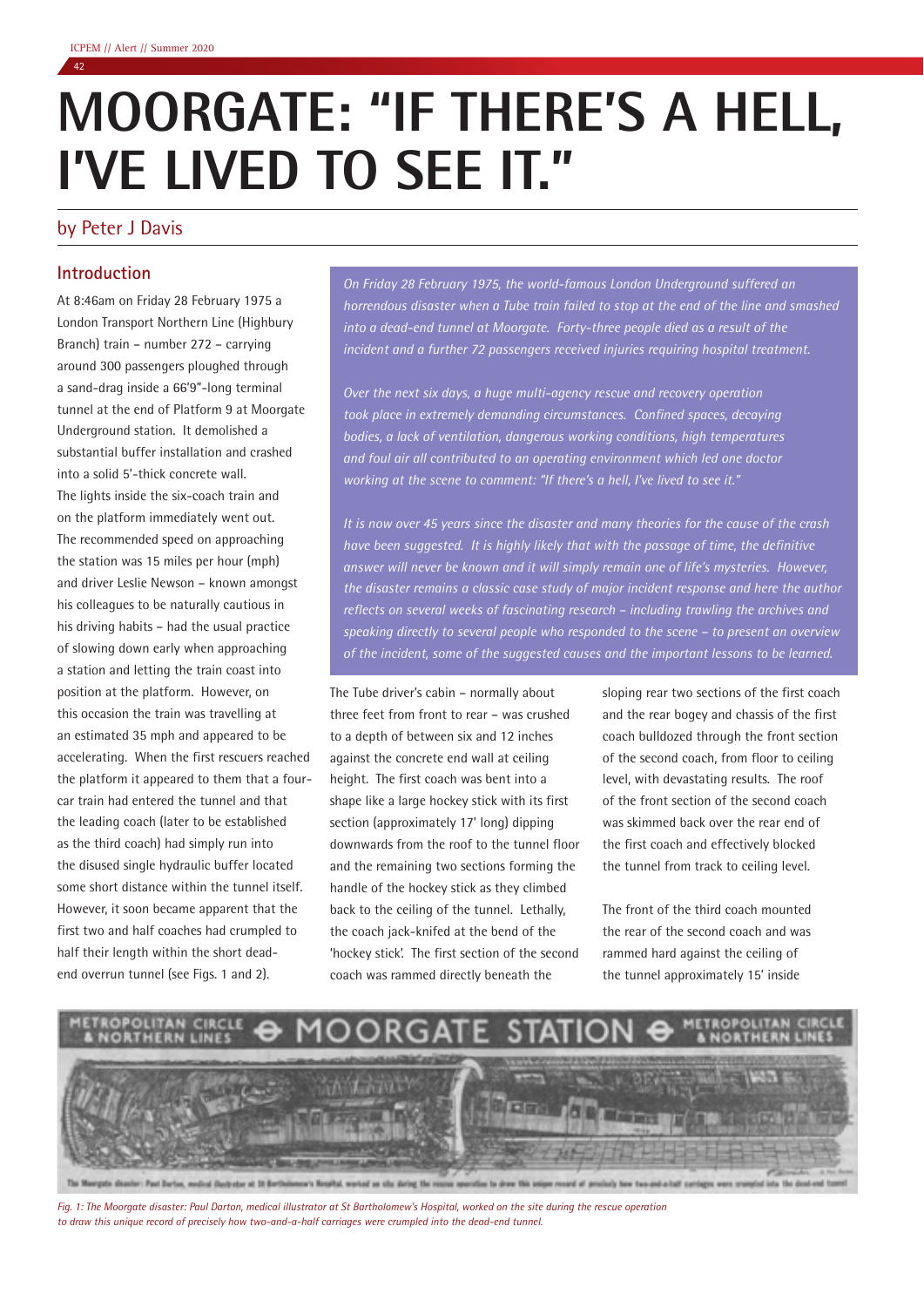# **MOORGATE: "IF THERE'S A HELL, I'VE LIVED TO SEE IT."**

# by Peter J Davis

# **Introduction**

At 8:46am on Friday 28 February 1975 a London Transport Northern Line (Highbury Branch) train – number 272 – carrying around 300 passengers ploughed through a sand-drag inside a 66'9"-long terminal tunnel at the end of Platform 9 at Moorgate Underground station. It demolished a substantial buffer installation and crashed into a solid 5'-thick concrete wall. The lights inside the six-coach train and on the platform immediately went out. The recommended speed on approaching the station was 15 miles per hour (mph) and driver Leslie Newson – known amongst his colleagues to be naturally cautious in his driving habits – had the usual practice of slowing down early when approaching a station and letting the train coast into position at the platform. However, on this occasion the train was travelling at an estimated 35 mph and appeared to be accelerating. When the first rescuers reached the platform it appeared to them that a fourcar train had entered the tunnel and that the leading coach (later to be established as the third coach) had simply run into the disused single hydraulic buffer located some short distance within the tunnel itself. However, it soon became apparent that the first two and half coaches had crumpled to half their length within the short deadend overrun tunnel (see Figs. 1 and 2).

*On Friday 28 February 1975, the world-famous London Underground suffered an horrendous disaster when a Tube train failed to stop at the end of the line and smashed into a dead-end tunnel at Moorgate. Forty-three people died as a result of the incident and a further 72 passengers received injuries requiring hospital treatment.*

*Over the next six days, a huge multi-agency rescue and recovery operation took place in extremely demanding circumstances. Confined spaces, decaying bodies, a lack of ventilation, dangerous working conditions, high temperatures and foul air all contributed to an operating environment which led one doctor working at the scene to comment: "If there's a hell, I've lived to see it."*

*It is now over 45 years since the disaster and many theories for the cause of the crash have been suggested. It is highly likely that with the passage of time, the definitive answer will never be known and it will simply remain one of life's mysteries. However, the disaster remains a classic case study of major incident response and here the author reflects on several weeks of fascinating research – including trawling the archives and speaking directly to several people who responded to the scene – to present an overview of the incident, some of the suggested causes and the important lessons to be learned.*

The Tube driver's cabin – normally about three feet from front to rear – was crushed to a depth of between six and 12 inches against the concrete end wall at ceiling height. The first coach was bent into a shape like a large hockey stick with its first section (approximately 17' long) dipping downwards from the roof to the tunnel floor and the remaining two sections forming the handle of the hockey stick as they climbed back to the ceiling of the tunnel. Lethally, the coach jack-knifed at the bend of the 'hockey stick'. The first section of the second coach was rammed directly beneath the

sloping rear two sections of the first coach and the rear bogey and chassis of the first coach bulldozed through the front section of the second coach, from floor to ceiling level, with devastating results. The roof of the front section of the second coach was skimmed back over the rear end of the first coach and effectively blocked the tunnel from track to ceiling level.

The front of the third coach mounted the rear of the second coach and was rammed hard against the ceiling of the tunnel approximately 15' inside



*Fig. 1: The Moorgate disaster: Paul Darton, medical illustrator at St Bartholomew's Hospital, worked on the site during the rescue operation to draw this unique record of precisely how two-and-a-half carriages were crumpled into the dead-end tunnel.*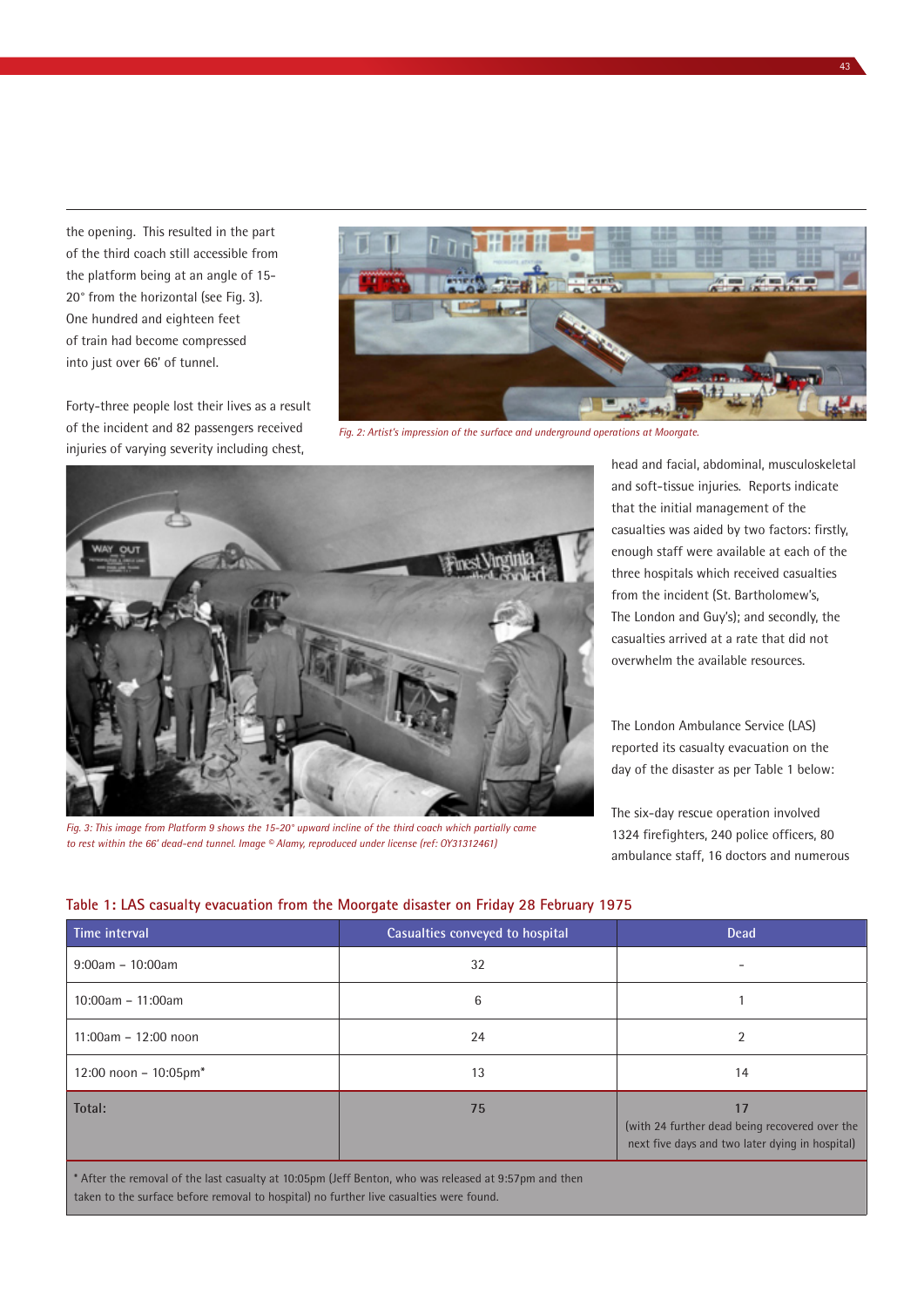the opening. This resulted in the part of the third coach still accessible from the platform being at an angle of 15- 20° from the horizontal (see Fig. 3). One hundred and eighteen feet of train had become compressed into just over 66' of tunnel.

Forty-three people lost their lives as a result of the incident and 82 passengers received injuries of varying severity including chest,



*Fig. 2: Artist's impression of the surface and underground operations at Moorgate.*



*Fig. 3: This image from Platform 9 shows the 15-20° upward incline of the third coach which partially came to rest within the 66' dead-end tunnel. Image © Alamy, reproduced under license (ref: OY31312461)*

head and facial, abdominal, musculoskeletal and soft-tissue injuries. Reports indicate that the initial management of the casualties was aided by two factors: firstly, enough staff were available at each of the three hospitals which received casualties from the incident (St. Bartholomew's, The London and Guy's); and secondly, the casualties arrived at a rate that did not overwhelm the available resources.

The London Ambulance Service (LAS) reported its casualty evacuation on the day of the disaster as per Table 1 below:

The six-day rescue operation involved 1324 firefighters, 240 police officers, 80 ambulance staff, 16 doctors and numerous

#### **Table 1: LAS casualty evacuation from the Moorgate disaster on Friday 28 February 1975**

| Time interval            | Casualties conveyed to hospital | <b>Dead</b>                                                                                             |  |
|--------------------------|---------------------------------|---------------------------------------------------------------------------------------------------------|--|
| $9:00am - 10:00am$       | 32                              |                                                                                                         |  |
| $10:00am - 11:00am$      | 6                               |                                                                                                         |  |
| 11:00am - 12:00 noon     | 24                              | $\overline{2}$                                                                                          |  |
| 12:00 noon - $10:05$ pm* | 13                              | 14                                                                                                      |  |
| Total:                   | 75                              | 17<br>(with 24 further dead being recovered over the<br>next five days and two later dying in hospital) |  |

\* After the removal of the last casualty at 10:05pm (Jeff Benton, who was released at 9:57pm and then taken to the surface before removal to hospital) no further live casualties were found.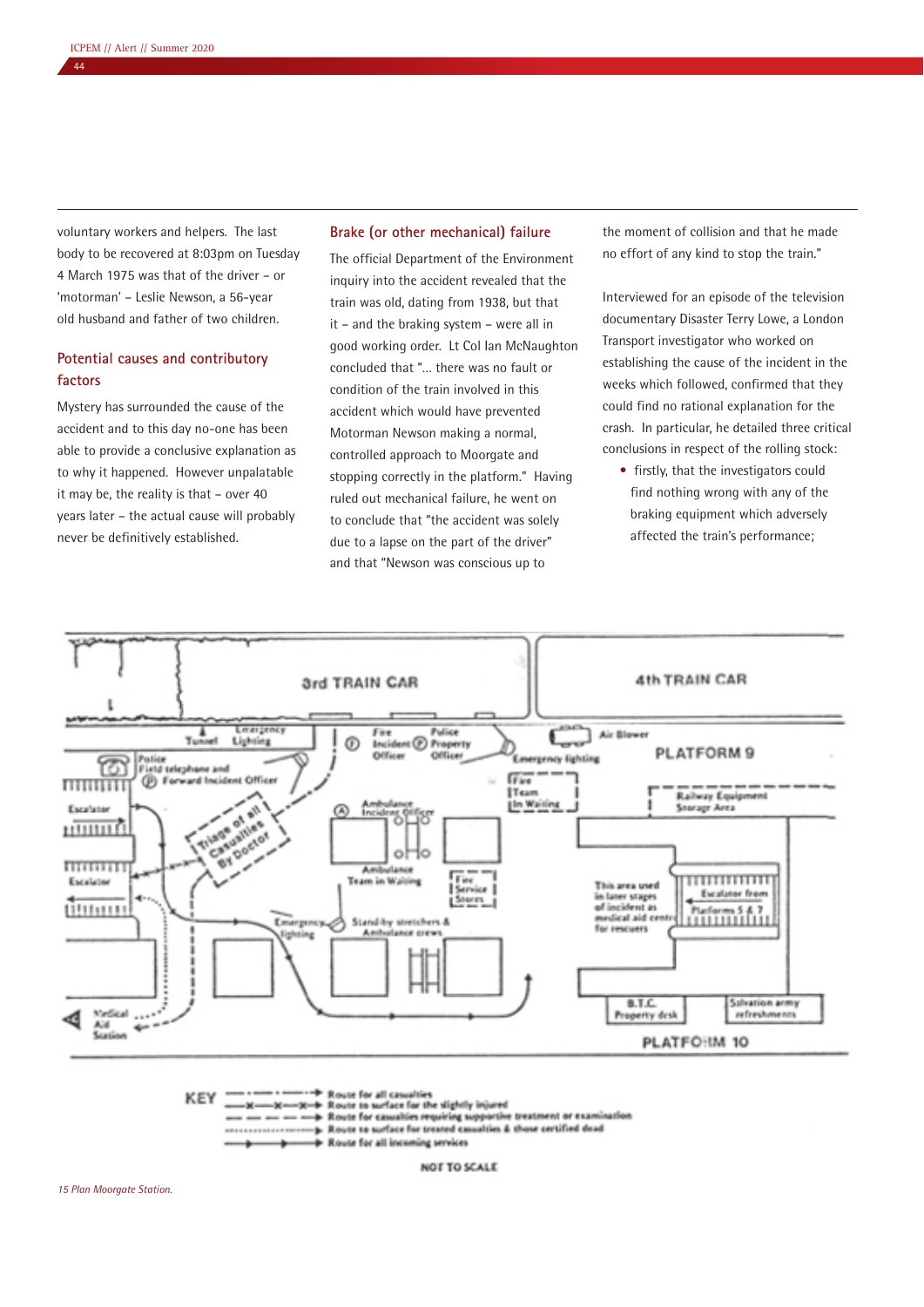voluntary workers and helpers. The last body to be recovered at 8:03pm on Tuesday 4 March 1975 was that of the driver – or 'motorman' – Leslie Newson, a 56-year old husband and father of two children.

# **Potential causes and contributory factors**

Mystery has surrounded the cause of the accident and to this day no-one has been able to provide a conclusive explanation as to why it happened. However unpalatable it may be, the reality is that – over 40 years later – the actual cause will probably never be definitively established.

# **Brake (or other mechanical) failure**

The official Department of the Environment inquiry into the accident revealed that the train was old, dating from 1938, but that it – and the braking system – were all in good working order. Lt Col Ian McNaughton concluded that "… there was no fault or condition of the train involved in this accident which would have prevented Motorman Newson making a normal, controlled approach to Moorgate and stopping correctly in the platform." Having ruled out mechanical failure, he went on to conclude that "the accident was solely due to a lapse on the part of the driver" and that "Newson was conscious up to

the moment of collision and that he made no effort of any kind to stop the train."

Interviewed for an episode of the television documentary Disaster Terry Lowe, a London Transport investigator who worked on establishing the cause of the incident in the weeks which followed, confirmed that they could find no rational explanation for the crash. In particular, he detailed three critical conclusions in respect of the rolling stock:

• firstly, that the investigators could find nothing wrong with any of the braking equipment which adversely affected the train's performance;



p. Route to surface for treated casualties & those certified dead . . . . . . . . . . . . . . . . . . . .

+ Route for all incoming services

**NOT TO SCALE**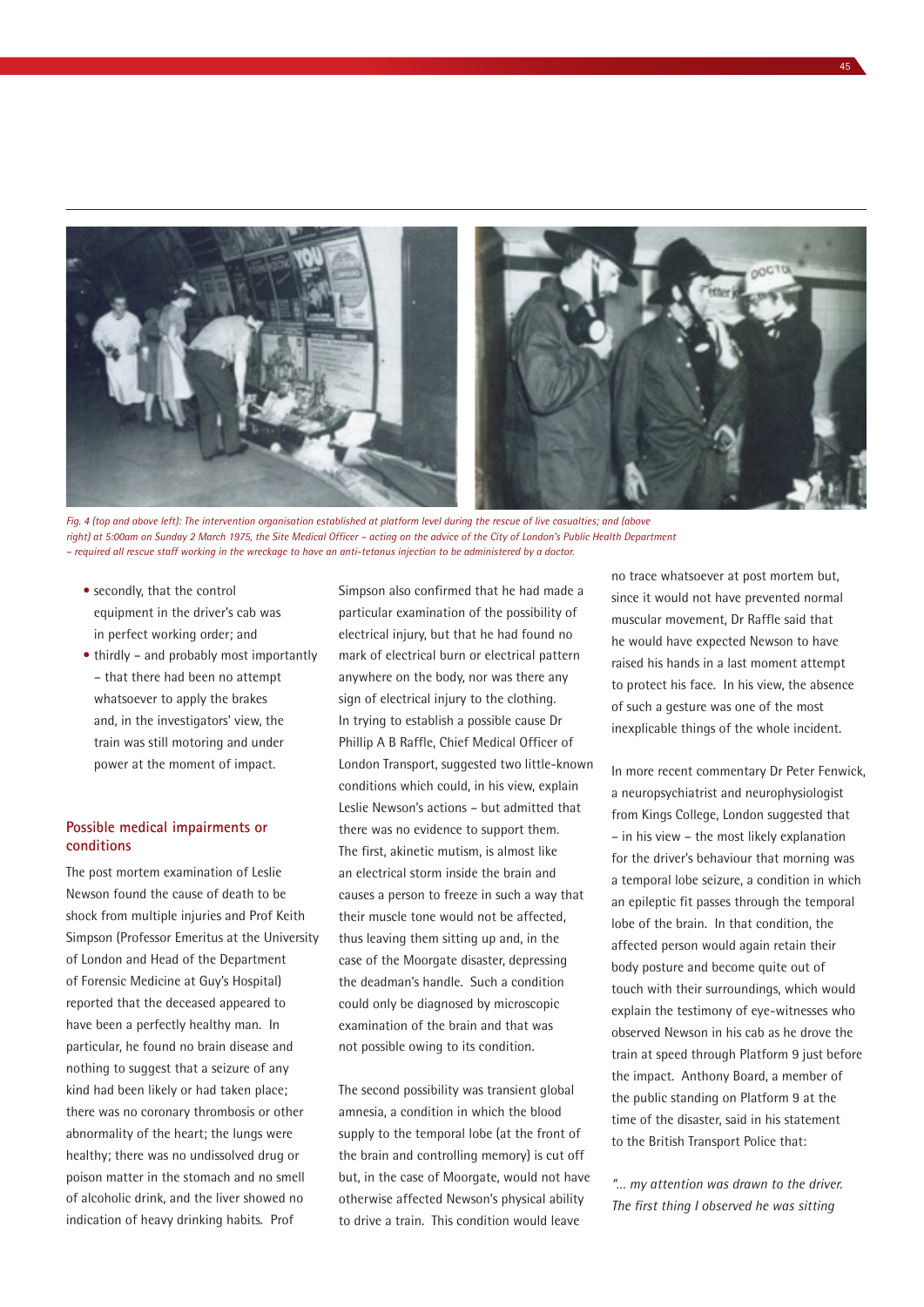

*Fig. 4 (top and above left): The intervention organisation established at platform level during the rescue of live casualties; and (above right) at 5:00am on Sunday 2 March 1975, the Site Medical Officer – acting on the advice of the City of London's Public Health Department – required all rescue staff working in the wreckage to have an anti-tetanus injection to be administered by a doctor.*

- secondly, that the control equipment in the driver's cab was in perfect working order; and
- thirdly and probably most importantly – that there had been no attempt whatsoever to apply the brakes and, in the investigators' view, the train was still motoring and under power at the moment of impact.

#### **Possible medical impairments or conditions**

The post mortem examination of Leslie Newson found the cause of death to be shock from multiple injuries and Prof Keith Simpson (Professor Emeritus at the University of London and Head of the Department of Forensic Medicine at Guy's Hospital) reported that the deceased appeared to have been a perfectly healthy man. In particular, he found no brain disease and nothing to suggest that a seizure of any kind had been likely or had taken place; there was no coronary thrombosis or other abnormality of the heart; the lungs were healthy; there was no undissolved drug or poison matter in the stomach and no smell of alcoholic drink, and the liver showed no indication of heavy drinking habits. Prof

Simpson also confirmed that he had made a particular examination of the possibility of electrical injury, but that he had found no mark of electrical burn or electrical pattern anywhere on the body, nor was there any sign of electrical injury to the clothing. In trying to establish a possible cause Dr Phillip A B Raffle, Chief Medical Officer of London Transport, suggested two little-known conditions which could, in his view, explain Leslie Newson's actions – but admitted that there was no evidence to support them. The first, akinetic mutism, is almost like an electrical storm inside the brain and causes a person to freeze in such a way that their muscle tone would not be affected, thus leaving them sitting up and, in the case of the Moorgate disaster, depressing the deadman's handle. Such a condition could only be diagnosed by microscopic examination of the brain and that was not possible owing to its condition.

The second possibility was transient global amnesia, a condition in which the blood supply to the temporal lobe (at the front of the brain and controlling memory) is cut off but, in the case of Moorgate, would not have otherwise affected Newson's physical ability to drive a train. This condition would leave

no trace whatsoever at post mortem but, since it would not have prevented normal muscular movement, Dr Raffle said that he would have expected Newson to have raised his hands in a last moment attempt to protect his face. In his view, the absence of such a gesture was one of the most inexplicable things of the whole incident.

In more recent commentary Dr Peter Fenwick, a neuropsychiatrist and neurophysiologist from Kings College, London suggested that – in his view – the most likely explanation for the driver's behaviour that morning was a temporal lobe seizure, a condition in which an epileptic fit passes through the temporal lobe of the brain. In that condition, the affected person would again retain their body posture and become quite out of touch with their surroundings, which would explain the testimony of eye-witnesses who observed Newson in his cab as he drove the train at speed through Platform 9 just before the impact. Anthony Board, a member of the public standing on Platform 9 at the time of the disaster, said in his statement to the British Transport Police that:

*"… my attention was drawn to the driver. The first thing I observed he was sitting*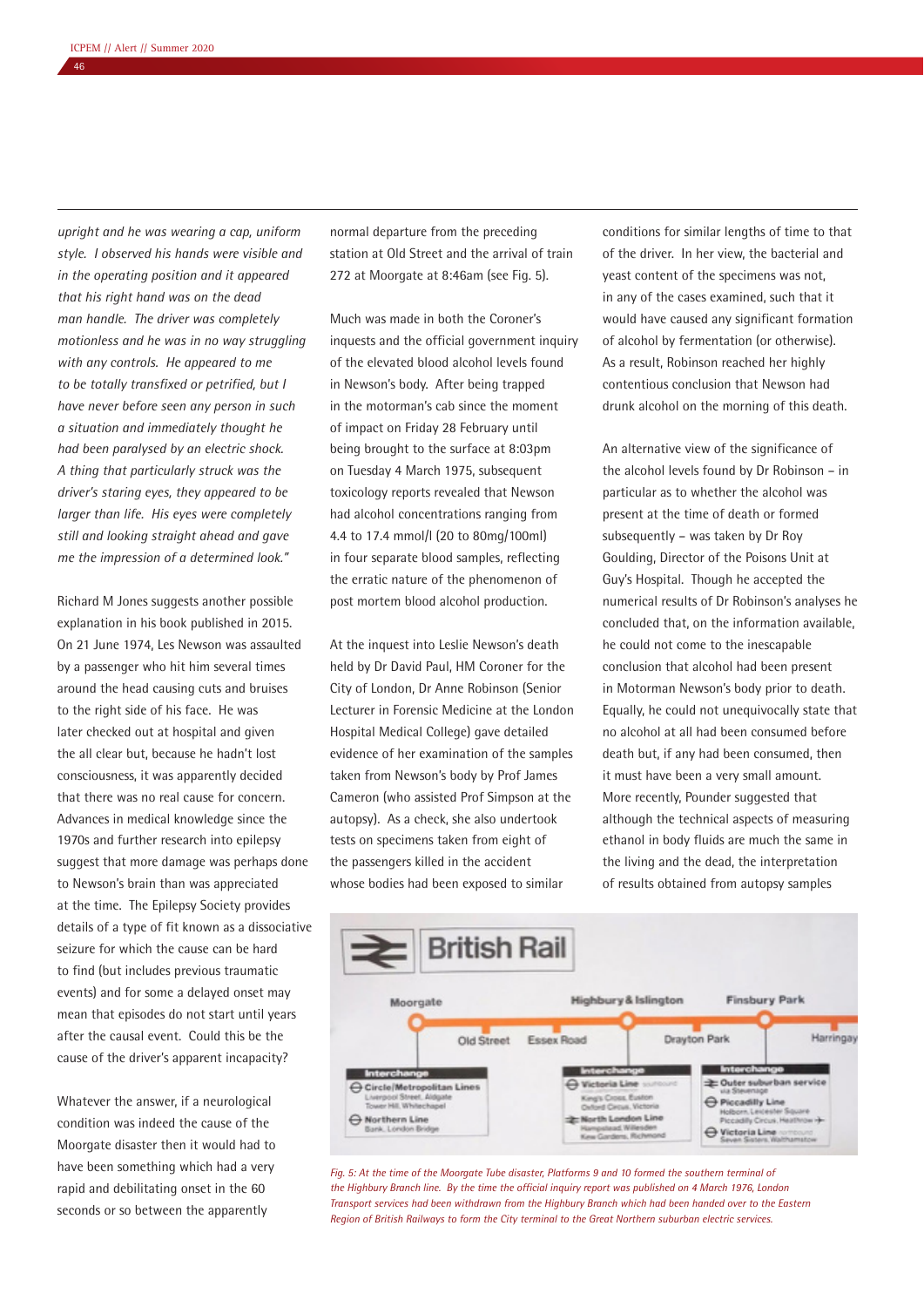*upright and he was wearing a cap, uniform style. I observed his hands were visible and in the operating position and it appeared that his right hand was on the dead man handle. The driver was completely motionless and he was in no way struggling with any controls. He appeared to me to be totally transfixed or petrified, but I have never before seen any person in such a situation and immediately thought he had been paralysed by an electric shock. A thing that particularly struck was the driver's staring eyes, they appeared to be larger than life. His eyes were completely still and looking straight ahead and gave me the impression of a determined look."*

Richard M Jones suggests another possible explanation in his book published in 2015. On 21 June 1974, Les Newson was assaulted by a passenger who hit him several times around the head causing cuts and bruises to the right side of his face. He was later checked out at hospital and given the all clear but, because he hadn't lost consciousness, it was apparently decided that there was no real cause for concern. Advances in medical knowledge since the 1970s and further research into epilepsy suggest that more damage was perhaps done to Newson's brain than was appreciated at the time. The Epilepsy Society provides details of a type of fit known as a dissociative seizure for which the cause can be hard to find (but includes previous traumatic events) and for some a delayed onset may mean that episodes do not start until years after the causal event. Could this be the cause of the driver's apparent incapacity?

Whatever the answer, if a neurological condition was indeed the cause of the Moorgate disaster then it would had to have been something which had a very rapid and debilitating onset in the 60 seconds or so between the apparently

normal departure from the preceding station at Old Street and the arrival of train 272 at Moorgate at 8:46am (see Fig. 5).

Much was made in both the Coroner's inquests and the official government inquiry of the elevated blood alcohol levels found in Newson's body. After being trapped in the motorman's cab since the moment of impact on Friday 28 February until being brought to the surface at 8:03pm on Tuesday 4 March 1975, subsequent toxicology reports revealed that Newson had alcohol concentrations ranging from 4.4 to 17.4 mmol/l (20 to 80mg/100ml) in four separate blood samples, reflecting the erratic nature of the phenomenon of post mortem blood alcohol production.

At the inquest into Leslie Newson's death held by Dr David Paul, HM Coroner for the City of London, Dr Anne Robinson (Senior Lecturer in Forensic Medicine at the London Hospital Medical College) gave detailed evidence of her examination of the samples taken from Newson's body by Prof James Cameron (who assisted Prof Simpson at the autopsy). As a check, she also undertook tests on specimens taken from eight of the passengers killed in the accident whose bodies had been exposed to similar

conditions for similar lengths of time to that of the driver. In her view, the bacterial and yeast content of the specimens was not, in any of the cases examined, such that it would have caused any significant formation of alcohol by fermentation (or otherwise). As a result, Robinson reached her highly contentious conclusion that Newson had drunk alcohol on the morning of this death.

An alternative view of the significance of the alcohol levels found by Dr Robinson – in particular as to whether the alcohol was present at the time of death or formed subsequently – was taken by Dr Roy Goulding, Director of the Poisons Unit at Guy's Hospital. Though he accepted the numerical results of Dr Robinson's analyses he concluded that, on the information available, he could not come to the inescapable conclusion that alcohol had been present in Motorman Newson's body prior to death. Equally, he could not unequivocally state that no alcohol at all had been consumed before death but, if any had been consumed, then it must have been a very small amount. More recently, Pounder suggested that although the technical aspects of measuring ethanol in body fluids are much the same in the living and the dead, the interpretation of results obtained from autopsy samples



*Fig. 5: At the time of the Moorgate Tube disaster, Platforms 9 and 10 formed the southern terminal of the Highbury Branch line. By the time the official inquiry report was published on 4 March 1976, London Transport services had been withdrawn from the Highbury Branch which had been handed over to the Eastern Region of British Railways to form the City terminal to the Great Northern suburban electric services.*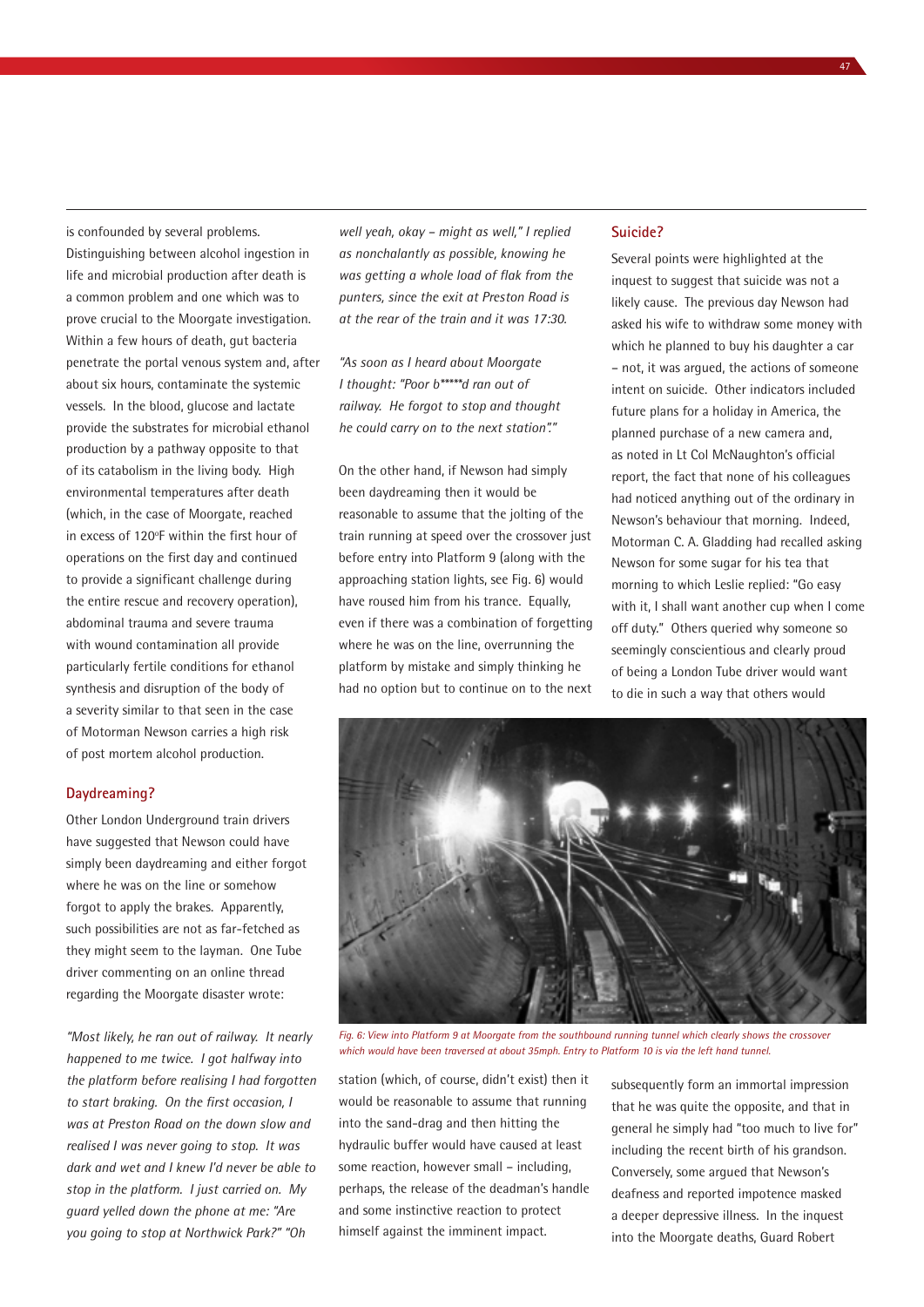is confounded by several problems. Distinguishing between alcohol ingestion in life and microbial production after death is a common problem and one which was to prove crucial to the Moorgate investigation. Within a few hours of death, gut bacteria penetrate the portal venous system and, after about six hours, contaminate the systemic vessels. In the blood, glucose and lactate provide the substrates for microbial ethanol production by a pathway opposite to that of its catabolism in the living body. High environmental temperatures after death (which, in the case of Moorgate, reached in excess of 120°F within the first hour of operations on the first day and continued to provide a significant challenge during the entire rescue and recovery operation), abdominal trauma and severe trauma with wound contamination all provide particularly fertile conditions for ethanol synthesis and disruption of the body of a severity similar to that seen in the case of Motorman Newson carries a high risk of post mortem alcohol production.

#### **Daydreaming?**

Other London Underground train drivers have suggested that Newson could have simply been daydreaming and either forgot where he was on the line or somehow forgot to apply the brakes. Apparently, such possibilities are not as far-fetched as they might seem to the layman. One Tube driver commenting on an online thread regarding the Moorgate disaster wrote:

*"Most likely, he ran out of railway. It nearly happened to me twice. I got halfway into the platform before realising I had forgotten to start braking. On the first occasion, I was at Preston Road on the down slow and realised I was never going to stop. It was dark and wet and I knew I'd never be able to stop in the platform. I just carried on. My guard yelled down the phone at me: "Are you going to stop at Northwick Park?" "Oh* 

*well yeah, okay – might as well," I replied as nonchalantly as possible, knowing he was getting a whole load of flak from the punters, since the exit at Preston Road is at the rear of the train and it was 17:30.*

*"As soon as I heard about Moorgate I thought: "Poor b\*\*\*\*\*d ran out of railway. He forgot to stop and thought he could carry on to the next station"."*

On the other hand, if Newson had simply been daydreaming then it would be reasonable to assume that the jolting of the train running at speed over the crossover just before entry into Platform 9 (along with the approaching station lights, see Fig. 6) would have roused him from his trance. Equally, even if there was a combination of forgetting where he was on the line, overrunning the platform by mistake and simply thinking he had no option but to continue on to the next

# **Suicide?**

Several points were highlighted at the inquest to suggest that suicide was not a likely cause. The previous day Newson had asked his wife to withdraw some money with which he planned to buy his daughter a car – not, it was argued, the actions of someone intent on suicide. Other indicators included future plans for a holiday in America, the planned purchase of a new camera and, as noted in Lt Col McNaughton's official report, the fact that none of his colleagues had noticed anything out of the ordinary in Newson's behaviour that morning. Indeed, Motorman C. A. Gladding had recalled asking Newson for some sugar for his tea that morning to which Leslie replied: "Go easy with it, I shall want another cup when I come off duty." Others queried why someone so seemingly conscientious and clearly proud of being a London Tube driver would want to die in such a way that others would



*Fig. 6: View into Platform 9 at Moorgate from the southbound running tunnel which clearly shows the crossover which would have been traversed at about 35mph. Entry to Platform 10 is via the left hand tunnel.*

station (which, of course, didn't exist) then it would be reasonable to assume that running into the sand-drag and then hitting the hydraulic buffer would have caused at least some reaction, however small – including, perhaps, the release of the deadman's handle and some instinctive reaction to protect himself against the imminent impact.

subsequently form an immortal impression that he was quite the opposite, and that in general he simply had "too much to live for" including the recent birth of his grandson. Conversely, some argued that Newson's deafness and reported impotence masked a deeper depressive illness. In the inquest into the Moorgate deaths, Guard Robert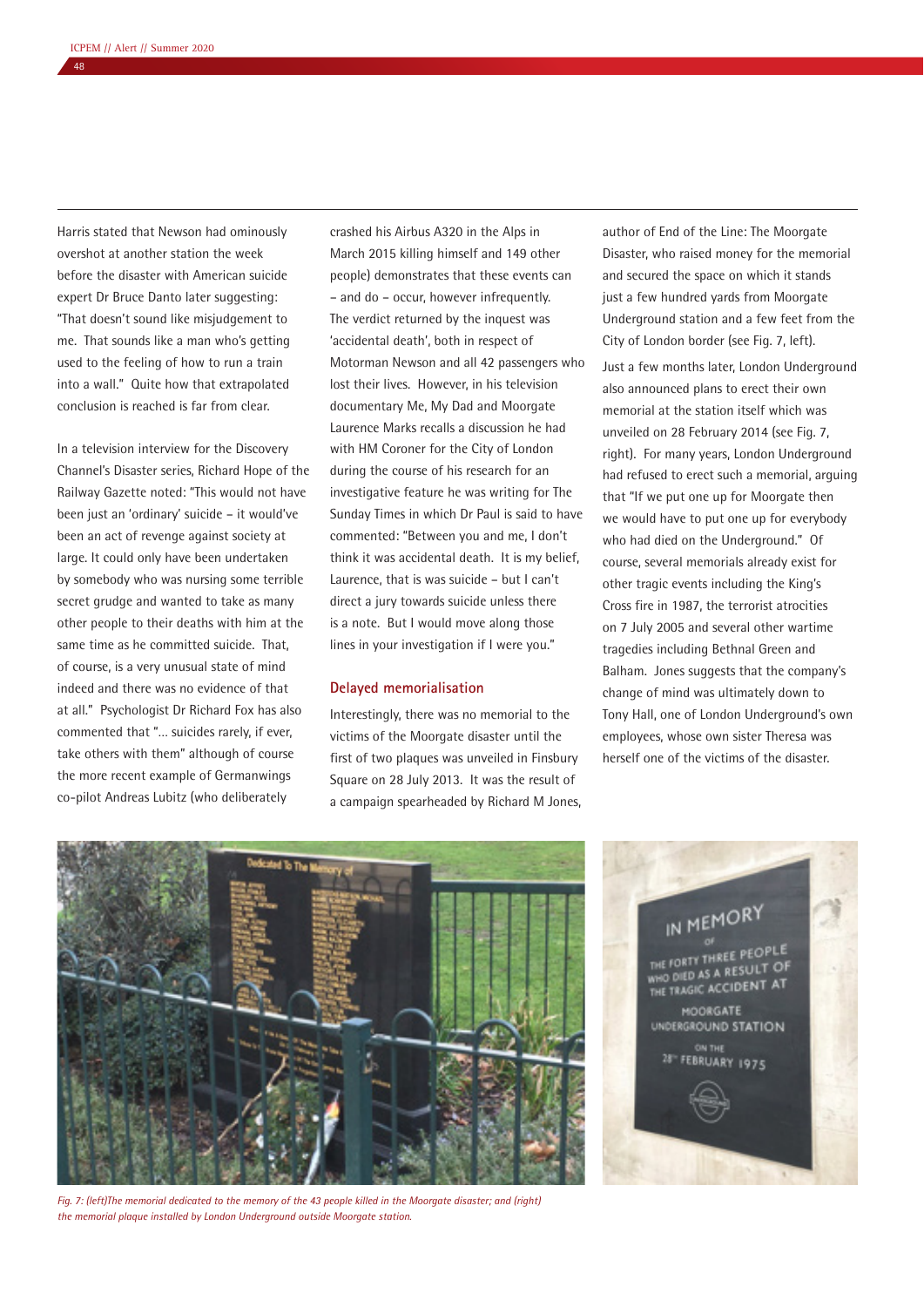Harris stated that Newson had ominously overshot at another station the week before the disaster with American suicide expert Dr Bruce Danto later suggesting: "That doesn't sound like misjudgement to me. That sounds like a man who's getting used to the feeling of how to run a train into a wall." Quite how that extrapolated conclusion is reached is far from clear.

In a television interview for the Discovery Channel's Disaster series, Richard Hope of the Railway Gazette noted: "This would not have been just an 'ordinary' suicide – it would've been an act of revenge against society at large. It could only have been undertaken by somebody who was nursing some terrible secret grudge and wanted to take as many other people to their deaths with him at the same time as he committed suicide. That, of course, is a very unusual state of mind indeed and there was no evidence of that at all." Psychologist Dr Richard Fox has also commented that "… suicides rarely, if ever, take others with them" although of course the more recent example of Germanwings co-pilot Andreas Lubitz (who deliberately

crashed his Airbus A320 in the Alps in March 2015 killing himself and 149 other people) demonstrates that these events can – and do – occur, however infrequently. The verdict returned by the inquest was 'accidental death', both in respect of Motorman Newson and all 42 passengers who lost their lives. However, in his television documentary Me, My Dad and Moorgate Laurence Marks recalls a discussion he had with HM Coroner for the City of London during the course of his research for an investigative feature he was writing for The Sunday Times in which Dr Paul is said to have commented: "Between you and me, I don't think it was accidental death. It is my belief, Laurence, that is was suicide – but I can't direct a jury towards suicide unless there is a note. But I would move along those lines in your investigation if I were you."

#### **Delayed memorialisation**

Interestingly, there was no memorial to the victims of the Moorgate disaster until the first of two plaques was unveiled in Finsbury Square on 28 July 2013. It was the result of a campaign spearheaded by Richard M Jones,

author of End of the Line: The Moorgate Disaster, who raised money for the memorial and secured the space on which it stands just a few hundred yards from Moorgate Underground station and a few feet from the City of London border (see Fig. 7, left).

Just a few months later, London Underground also announced plans to erect their own memorial at the station itself which was unveiled on 28 February 2014 (see Fig. 7, right). For many years, London Underground had refused to erect such a memorial, arguing that "If we put one up for Moorgate then we would have to put one up for everybody who had died on the Underground." Of course, several memorials already exist for other tragic events including the King's Cross fire in 1987, the terrorist atrocities on 7 July 2005 and several other wartime tragedies including Bethnal Green and Balham. Jones suggests that the company's change of mind was ultimately down to Tony Hall, one of London Underground's own employees, whose own sister Theresa was herself one of the victims of the disaster.



*Fig. 7: (left)The memorial dedicated to the memory of the 43 people killed in the Moorgate disaster; and (right) the memorial plaque installed by London Underground outside Moorgate station.*

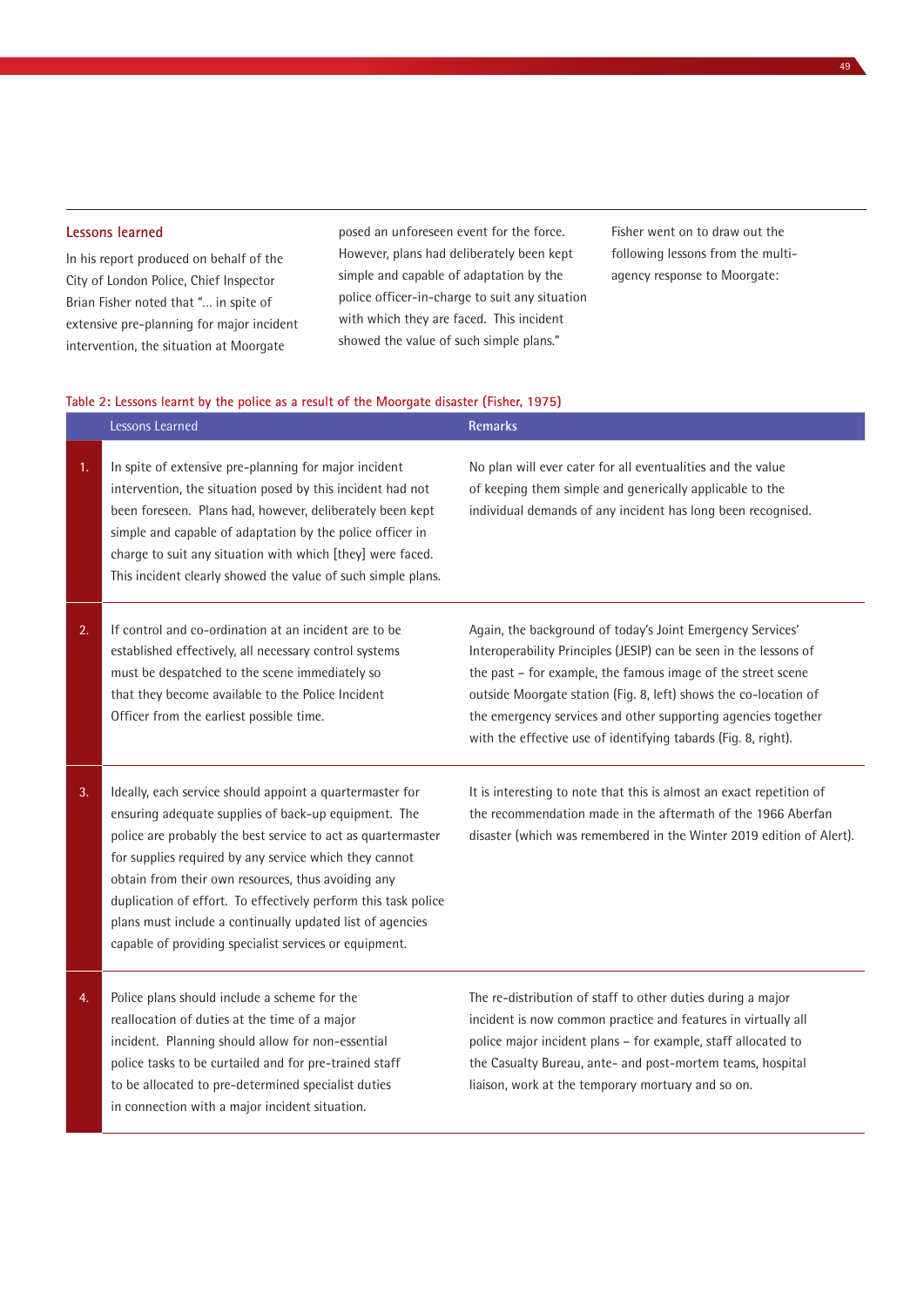# **Lessons learned**

In his report produced on behalf of the City of London Police, Chief Inspector Brian Fisher noted that "… in spite of extensive pre-planning for major incident intervention, the situation at Moorgate

posed an unforeseen event for the force. However, plans had deliberately been kept simple and capable of adaptation by the police officer-in-charge to suit any situation with which they are faced. This incident showed the value of such simple plans."

Fisher went on to draw out the following lessons from the multiagency response to Moorgate:

### **Table 2: Lessons learnt by the police as a result of the Moorgate disaster (Fisher, 1975)**

|    | Lessons Learned                                                                                                                                                                                                                                                                                                                                                                                                                                                                           | Remarks                                                                                                                                                                                                                                                                                                                                                                                                |
|----|-------------------------------------------------------------------------------------------------------------------------------------------------------------------------------------------------------------------------------------------------------------------------------------------------------------------------------------------------------------------------------------------------------------------------------------------------------------------------------------------|--------------------------------------------------------------------------------------------------------------------------------------------------------------------------------------------------------------------------------------------------------------------------------------------------------------------------------------------------------------------------------------------------------|
| 1. | In spite of extensive pre-planning for major incident<br>intervention, the situation posed by this incident had not<br>been foreseen. Plans had, however, deliberately been kept<br>simple and capable of adaptation by the police officer in<br>charge to suit any situation with which [they] were faced.<br>This incident clearly showed the value of such simple plans.                                                                                                               | No plan will ever cater for all eventualities and the value<br>of keeping them simple and generically applicable to the<br>individual demands of any incident has long been recognised.                                                                                                                                                                                                                |
| 2. | If control and co-ordination at an incident are to be<br>established effectively, all necessary control systems<br>must be despatched to the scene immediately so<br>that they become available to the Police Incident<br>Officer from the earliest possible time.                                                                                                                                                                                                                        | Again, the background of today's Joint Emergency Services'<br>Interoperability Principles (JESIP) can be seen in the lessons of<br>the past - for example, the famous image of the street scene<br>outside Moorgate station (Fig. 8, left) shows the co-location of<br>the emergency services and other supporting agencies together<br>with the effective use of identifying tabards (Fig. 8, right). |
| 3. | Ideally, each service should appoint a quartermaster for<br>ensuring adequate supplies of back-up equipment. The<br>police are probably the best service to act as quartermaster<br>for supplies required by any service which they cannot<br>obtain from their own resources, thus avoiding any<br>duplication of effort. To effectively perform this task police<br>plans must include a continually updated list of agencies<br>capable of providing specialist services or equipment. | It is interesting to note that this is almost an exact repetition of<br>the recommendation made in the aftermath of the 1966 Aberfan<br>disaster (which was remembered in the Winter 2019 edition of Alert).                                                                                                                                                                                           |
| 4. | Police plans should include a scheme for the<br>reallocation of duties at the time of a major<br>incident. Planning should allow for non-essential<br>police tasks to be curtailed and for pre-trained staff<br>to be allocated to pre-determined specialist duties<br>in connection with a major incident situation.                                                                                                                                                                     | The re-distribution of staff to other duties during a major<br>incident is now common practice and features in virtually all<br>police major incident plans - for example, staff allocated to<br>the Casualty Bureau, ante- and post-mortem teams, hospital<br>liaison, work at the temporary mortuary and so on.                                                                                      |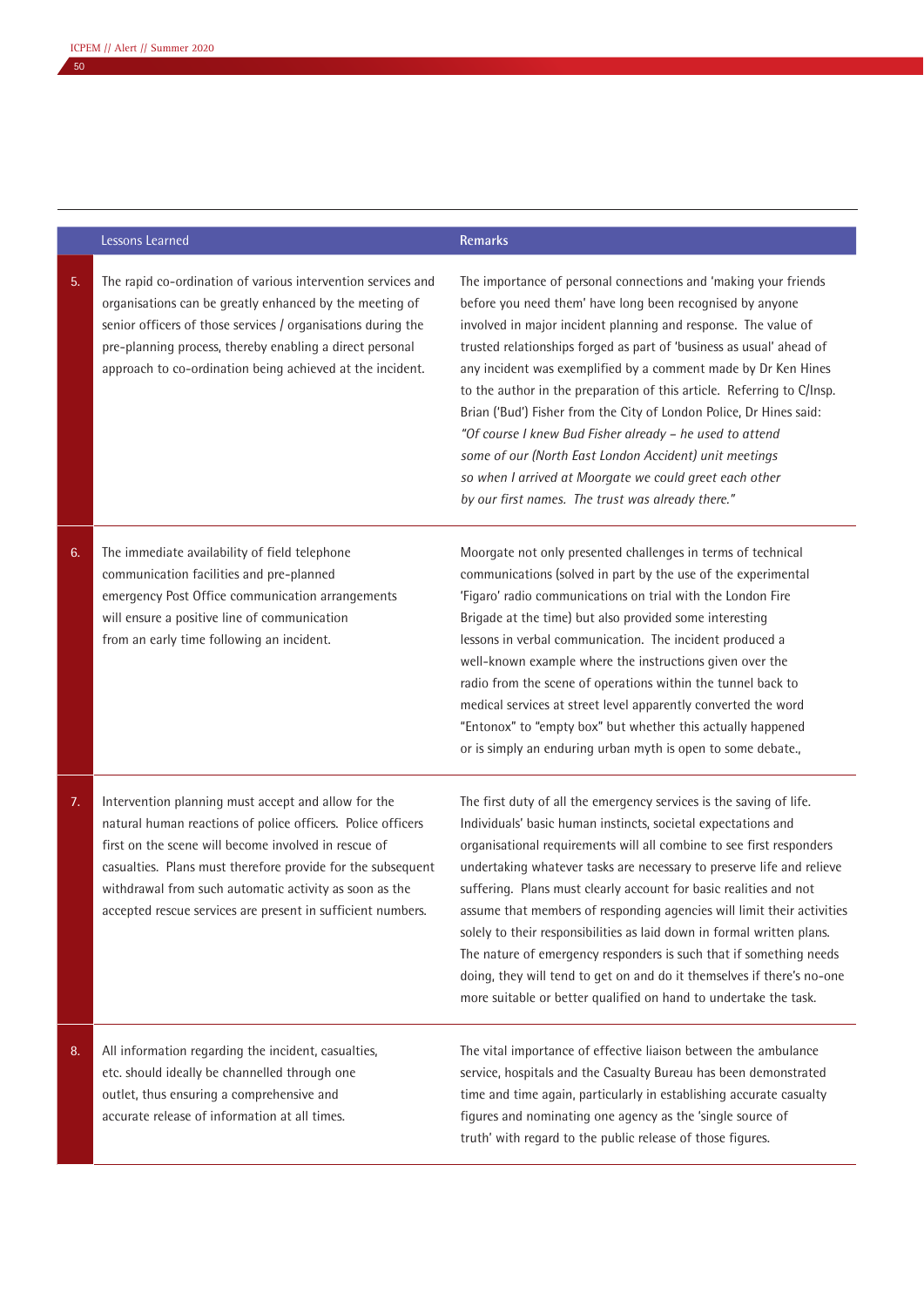#### Lessons Learned **Remarks**

5. The rapid co-ordination of various intervention services and organisations can be greatly enhanced by the meeting of senior officers of those services / organisations during the pre-planning process, thereby enabling a direct personal approach to co-ordination being achieved at the incident.

The importance of personal connections and 'making your friends before you need them' have long been recognised by anyone involved in major incident planning and response. The value of trusted relationships forged as part of 'business as usual' ahead of any incident was exemplified by a comment made by Dr Ken Hines to the author in the preparation of this article. Referring to C/Insp. Brian ('Bud') Fisher from the City of London Police, Dr Hines said: *"Of course I knew Bud Fisher already – he used to attend some of our (North East London Accident) unit meetings so when I arrived at Moorgate we could greet each other by our first names. The trust was already there."*

6. The immediate availability of field telephone communication facilities and pre-planned emergency Post Office communication arrangements will ensure a positive line of communication from an early time following an incident.

Moorgate not only presented challenges in terms of technical communications (solved in part by the use of the experimental 'Figaro' radio communications on trial with the London Fire Brigade at the time) but also provided some interesting lessons in verbal communication. The incident produced a well-known example where the instructions given over the radio from the scene of operations within the tunnel back to medical services at street level apparently converted the word "Entonox" to "empty box" but whether this actually happened or is simply an enduring urban myth is open to some debate.,

7. Intervention planning must accept and allow for the natural human reactions of police officers. Police officers first on the scene will become involved in rescue of casualties. Plans must therefore provide for the subsequent withdrawal from such automatic activity as soon as the accepted rescue services are present in sufficient numbers.

The first duty of all the emergency services is the saving of life. Individuals' basic human instincts, societal expectations and organisational requirements will all combine to see first responders undertaking whatever tasks are necessary to preserve life and relieve suffering. Plans must clearly account for basic realities and not assume that members of responding agencies will limit their activities solely to their responsibilities as laid down in formal written plans. The nature of emergency responders is such that if something needs doing, they will tend to get on and do it themselves if there's no-one more suitable or better qualified on hand to undertake the task.

8. All information regarding the incident, casualties, etc. should ideally be channelled through one outlet, thus ensuring a comprehensive and accurate release of information at all times.

The vital importance of effective liaison between the ambulance service, hospitals and the Casualty Bureau has been demonstrated time and time again, particularly in establishing accurate casualty figures and nominating one agency as the 'single source of truth' with regard to the public release of those figures.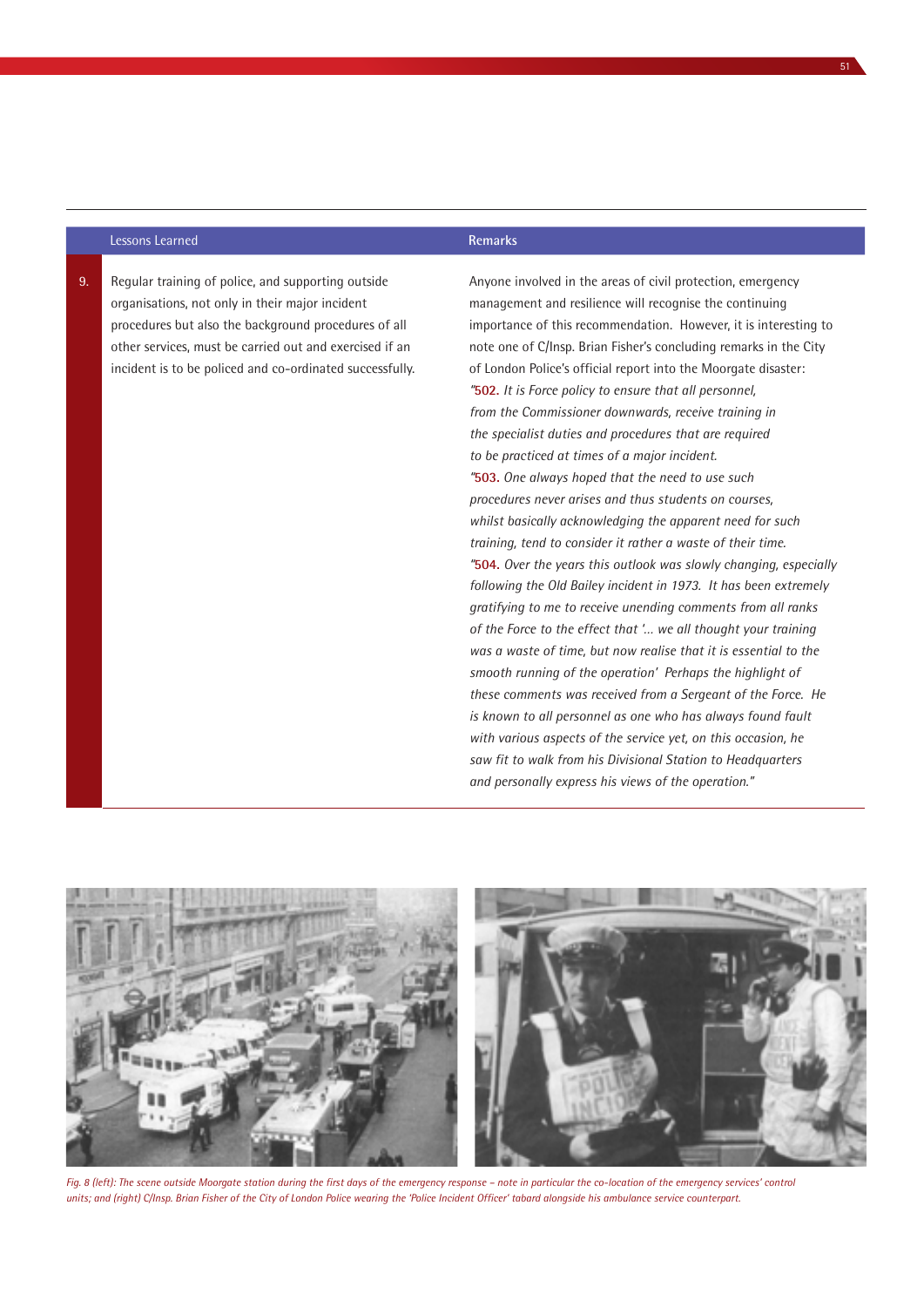#### Lessons Learned **Remarks**

9. Regular training of police, and supporting outside organisations, not only in their major incident procedures but also the background procedures of all other services, must be carried out and exercised if an incident is to be policed and co-ordinated successfully.

# management and resilience will recognise the continuing importance of this recommendation. However, it is interesting to note one of C/Insp. Brian Fisher's concluding remarks in the City of London Police's official report into the Moorgate disaster: *"***502.** *It is Force policy to ensure that all personnel, from the Commissioner downwards, receive training in the specialist duties and procedures that are required to be practiced at times of a major incident. "***503.** *One always hoped that the need to use such procedures never arises and thus students on courses, whilst basically acknowledging the apparent need for such*

Anyone involved in the areas of civil protection, emergency

*training, tend to consider it rather a waste of their time. "***504.** *Over the years this outlook was slowly changing, especially following the Old Bailey incident in 1973. It has been extremely gratifying to me to receive unending comments from all ranks of the Force to the effect that '… we all thought your training was a waste of time, but now realise that it is essential to the smooth running of the operation' Perhaps the highlight of these comments was received from a Sergeant of the Force. He is known to all personnel as one who has always found fault with various aspects of the service yet, on this occasion, he saw fit to walk from his Divisional Station to Headquarters and personally express his views of the operation."*



Fig. 8 (left): The scene outside Moorgate station during the first days of the emergency response – note in particular the co-location of the emergency services' control *units; and (right) C/Insp. Brian Fisher of the City of London Police wearing the 'Police Incident Officer' tabard alongside his ambulance service counterpart.*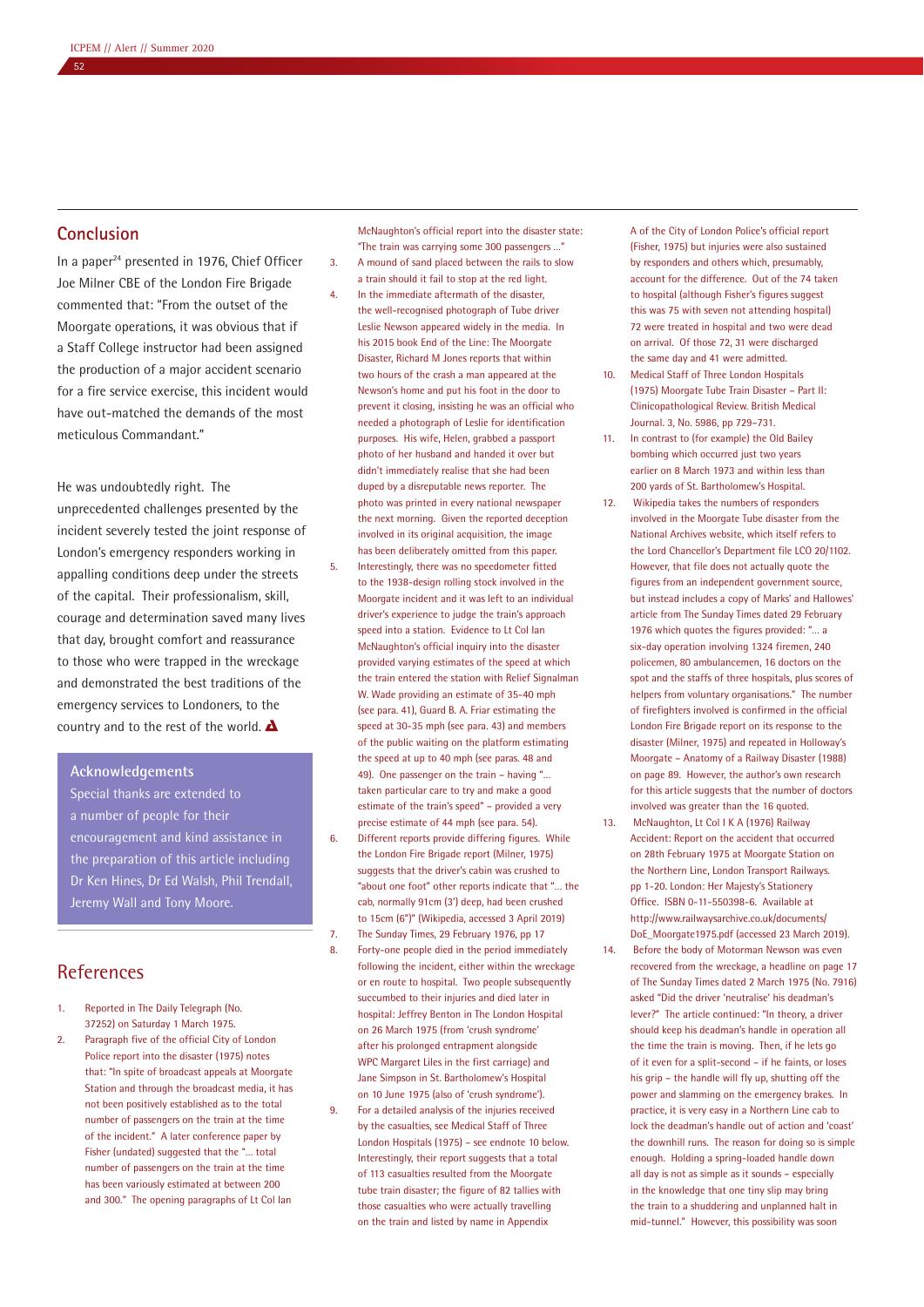# **Conclusion**

52

In a paper<sup>24</sup> presented in 1976, Chief Officer Joe Milner CBE of the London Fire Brigade commented that: "From the outset of the Moorgate operations, it was obvious that if a Staff College instructor had been assigned the production of a major accident scenario for a fire service exercise, this incident would have out-matched the demands of the most meticulous Commandant."

He was undoubtedly right. The unprecedented challenges presented by the incident severely tested the joint response of London's emergency responders working in appalling conditions deep under the streets of the capital. Their professionalism, skill, courage and determination saved many lives that day, brought comfort and reassurance to those who were trapped in the wreckage and demonstrated the best traditions of the emergency services to Londoners, to the country and to the rest of the world.  $\Delta$ 

#### **Acknowledgements**

Special thanks are extended to a number of people for their encouragement and kind assistance in the preparation of this article including Dr Ken Hines, Dr Ed Walsh, Phil Trendall, Jeremy Wall and Tony Moore.

# References

- 1. Reported in The Daily Telegraph (No. 37252) on Saturday 1 March 1975.
- 2. Paragraph five of the official City of London Police report into the disaster (1975) notes that: "In spite of broadcast appeals at Moorgate Station and through the broadcast media, it has not been positively established as to the total number of passengers on the train at the time of the incident." A later conference paper by Fisher (undated) suggested that the "… total number of passengers on the train at the time has been variously estimated at between 200 and 300." The opening paragraphs of Lt Col Ian

McNaughton's official report into the disaster state: "The train was carrying some 300 passengers …" 3. A mound of sand placed between the rails to slow

- a train should it fail to stop at the red light. 4. In the immediate aftermath of the disaster, the well-recognised photograph of Tube driver Leslie Newson appeared widely in the media. In his 2015 book End of the Line: The Moorgate Disaster, Richard M Jones reports that within two hours of the crash a man appeared at the Newson's home and put his foot in the door to prevent it closing, insisting he was an official who needed a photograph of Leslie for identification purposes. His wife, Helen, grabbed a passport photo of her husband and handed it over but didn't immediately realise that she had been duped by a disreputable news reporter. The photo was printed in every national newspaper the next morning. Given the reported deception involved in its original acquisition, the image has been deliberately omitted from this paper.
- 5. Interestingly, there was no speedometer fitted to the 1938-design rolling stock involved in the Moorgate incident and it was left to an individual driver's experience to judge the train's approach speed into a station. Evidence to Lt Col Ian McNaughton's official inquiry into the disaster provided varying estimates of the speed at which the train entered the station with Relief Signalman W. Wade providing an estimate of 35-40 mph (see para. 41), Guard B. A. Friar estimating the speed at 30-35 mph (see para. 43) and members of the public waiting on the platform estimating the speed at up to 40 mph (see paras. 48 and 49). One passenger on the train – having "… taken particular care to try and make a good estimate of the train's speed" – provided a very precise estimate of 44 mph (see para. 54).
- 6. Different reports provide differing figures. While the London Fire Brigade report (Milner, 1975) suggests that the driver's cabin was crushed to "about one foot" other reports indicate that "… the cab, normally 91cm (3') deep, had been crushed to 15cm (6")" (Wikipedia, accessed 3 April 2019)
- 7. The Sunday Times, 29 February 1976, pp 17
- 8. Forty-one people died in the period immediately following the incident, either within the wreckage or en route to hospital. Two people subsequently succumbed to their injuries and died later in hospital: Jeffrey Benton in The London Hospital on 26 March 1975 (from 'crush syndrome' after his prolonged entrapment alongside WPC Margaret Liles in the first carriage) and Jane Simpson in St. Bartholomew's Hospital on 10 June 1975 (also of 'crush syndrome').
- 9. For a detailed analysis of the injuries received by the casualties, see Medical Staff of Three London Hospitals (1975) – see endnote 10 below. Interestingly, their report suggests that a total of 113 casualties resulted from the Moorgate tube train disaster; the figure of 82 tallies with those casualties who were actually travelling on the train and listed by name in Appendix

A of the City of London Police's official report (Fisher, 1975) but injuries were also sustained by responders and others which, presumably, account for the difference. Out of the 74 taken to hospital (although Fisher's figures suggest this was 75 with seven not attending hospital) 72 were treated in hospital and two were dead on arrival. Of those 72, 31 were discharged the same day and 41 were admitted.

- 10. Medical Staff of Three London Hospitals (1975) Moorgate Tube Train Disaster – Part II: Clinicopathological Review. British Medical Journal. 3, No. 5986, pp 729–731.
- 11. In contrast to (for example) the Old Bailey bombing which occurred just two years earlier on 8 March 1973 and within less than 200 yards of St. Bartholomew's Hospital.
- 12. Wikipedia takes the numbers of responders involved in the Moorgate Tube disaster from the National Archives website, which itself refers to the Lord Chancellor's Department file LCO 20/1102. However, that file does not actually quote the figures from an independent government source, but instead includes a copy of Marks' and Hallowes' article from The Sunday Times dated 29 February 1976 which quotes the figures provided: "… a six-day operation involving 1324 firemen, 240 policemen, 80 ambulancemen, 16 doctors on the spot and the staffs of three hospitals, plus scores of helpers from voluntary organisations." The number of firefighters involved is confirmed in the official London Fire Brigade report on its response to the disaster (Milner, 1975) and repeated in Holloway's Moorgate – Anatomy of a Railway Disaster (1988) on page 89. However, the author's own research for this article suggests that the number of doctors involved was greater than the 16 quoted.
- 13. McNaughton, Lt Col I K A (1976) Railway Accident: Report on the accident that occurred on 28th February 1975 at Moorgate Station on the Northern Line, London Transport Railways. pp 1-20. London: Her Majesty's Stationery Office. ISBN 0-11-550398-6. Available at http://www.railwaysarchive.co.uk/documents/ DoE\_Moorgate1975.pdf (accessed 23 March 2019).
- 14. Before the body of Motorman Newson was even recovered from the wreckage, a headline on page 17 of The Sunday Times dated 2 March 1975 (No. 7916) asked "Did the driver 'neutralise' his deadman's lever?" The article continued: "In theory, a driver should keep his deadman's handle in operation all the time the train is moving. Then, if he lets go of it even for a split-second – if he faints, or loses his grip – the handle will fly up, shutting off the power and slamming on the emergency brakes. In practice, it is very easy in a Northern Line cab to lock the deadman's handle out of action and 'coast' the downhill runs. The reason for doing so is simple enough. Holding a spring-loaded handle down all day is not as simple as it sounds – especially in the knowledge that one tiny slip may bring the train to a shuddering and unplanned halt in mid-tunnel." However, this possibility was soon